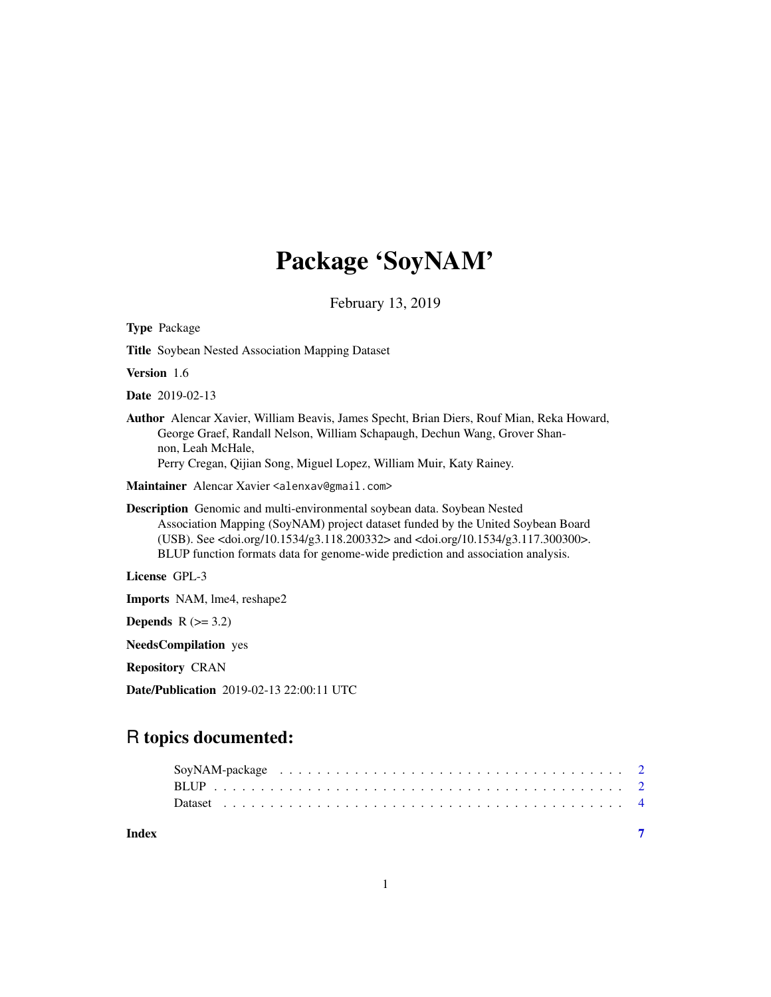# Package 'SoyNAM'

February 13, 2019

| <b>Type Package</b>                                                                                                                                                                                                                                                                                                                                                |
|--------------------------------------------------------------------------------------------------------------------------------------------------------------------------------------------------------------------------------------------------------------------------------------------------------------------------------------------------------------------|
| <b>Title Soybean Nested Association Mapping Dataset</b>                                                                                                                                                                                                                                                                                                            |
| <b>Version</b> 1.6                                                                                                                                                                                                                                                                                                                                                 |
| <b>Date</b> 2019-02-13                                                                                                                                                                                                                                                                                                                                             |
| Author Alencar Xavier, William Beavis, James Specht, Brian Diers, Rouf Mian, Reka Howard,<br>George Graef, Randall Nelson, William Schapaugh, Dechun Wang, Grover Shan-<br>non, Leah McHale,<br>Perry Cregan, Qijian Song, Miguel Lopez, William Muir, Katy Rainey.                                                                                                |
| Maintainer Alencar Xavier <alenxav@gmail.com></alenxav@gmail.com>                                                                                                                                                                                                                                                                                                  |
| Description Genomic and multi-environmental soybean data. Soybean Nested<br>Association Mapping (SoyNAM) project dataset funded by the United Soybean Board<br>(USB). See <doi.org 10.1534="" g3.118.200332=""> and <doi.org 10.1534="" g3.117.300300="">.<br/>BLUP function formats data for genome-wide prediction and association analysis.</doi.org></doi.org> |
| License GPL-3                                                                                                                                                                                                                                                                                                                                                      |
| <b>Imports</b> NAM, lme4, reshape2                                                                                                                                                                                                                                                                                                                                 |
| Depends $R (=3.2)$                                                                                                                                                                                                                                                                                                                                                 |
| <b>NeedsCompilation</b> yes                                                                                                                                                                                                                                                                                                                                        |
| <b>Repository CRAN</b>                                                                                                                                                                                                                                                                                                                                             |

Date/Publication 2019-02-13 22:00:11 UTC

# R topics documented:

|       | SoyNAM-package $\ldots \ldots \ldots \ldots \ldots \ldots \ldots \ldots \ldots \ldots \ldots \ldots \ldots 2$ |  |
|-------|---------------------------------------------------------------------------------------------------------------|--|
|       |                                                                                                               |  |
| Index |                                                                                                               |  |

1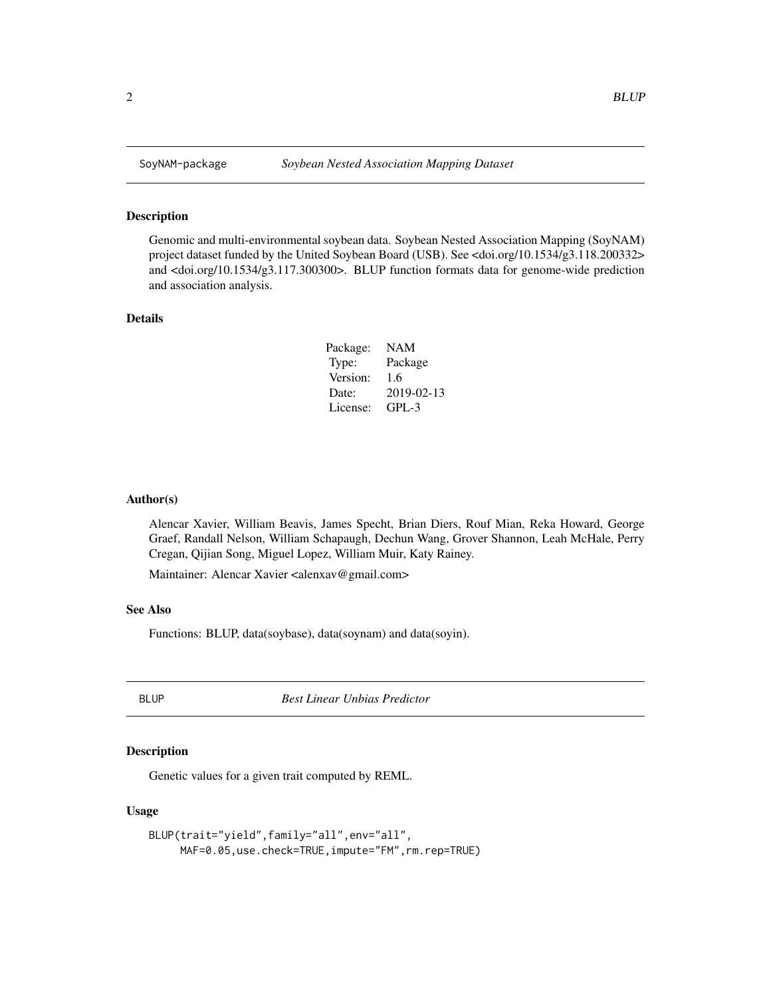#### Description

Genomic and multi-environmental soybean data. Soybean Nested Association Mapping (SoyNAM) project dataset funded by the United Soybean Board (USB). See <doi.org/10.1534/g3.118.200332> and <doi.org/10.1534/g3.117.300300>. BLUP function formats data for genome-wide prediction and association analysis.

# Details

| Package: | <b>NAM</b> |
|----------|------------|
| Type:    | Package    |
| Version: | 1.6        |
| Date:    | 2019-02-13 |
| License: | $GPI - 3$  |

# Author(s)

Alencar Xavier, William Beavis, James Specht, Brian Diers, Rouf Mian, Reka Howard, George Graef, Randall Nelson, William Schapaugh, Dechun Wang, Grover Shannon, Leah McHale, Perry Cregan, Qijian Song, Miguel Lopez, William Muir, Katy Rainey.

Maintainer: Alencar Xavier <alenxav@gmail.com>

# See Also

Functions: BLUP, data(soybase), data(soynam) and data(soyin).

BLUP *Best Linear Unbias Predictor*

# Description

Genetic values for a given trait computed by REML.

# Usage

```
BLUP(trait="yield",family="all",env="all",
MAF=0.05,use.check=TRUE,impute="FM",rm.rep=TRUE)
```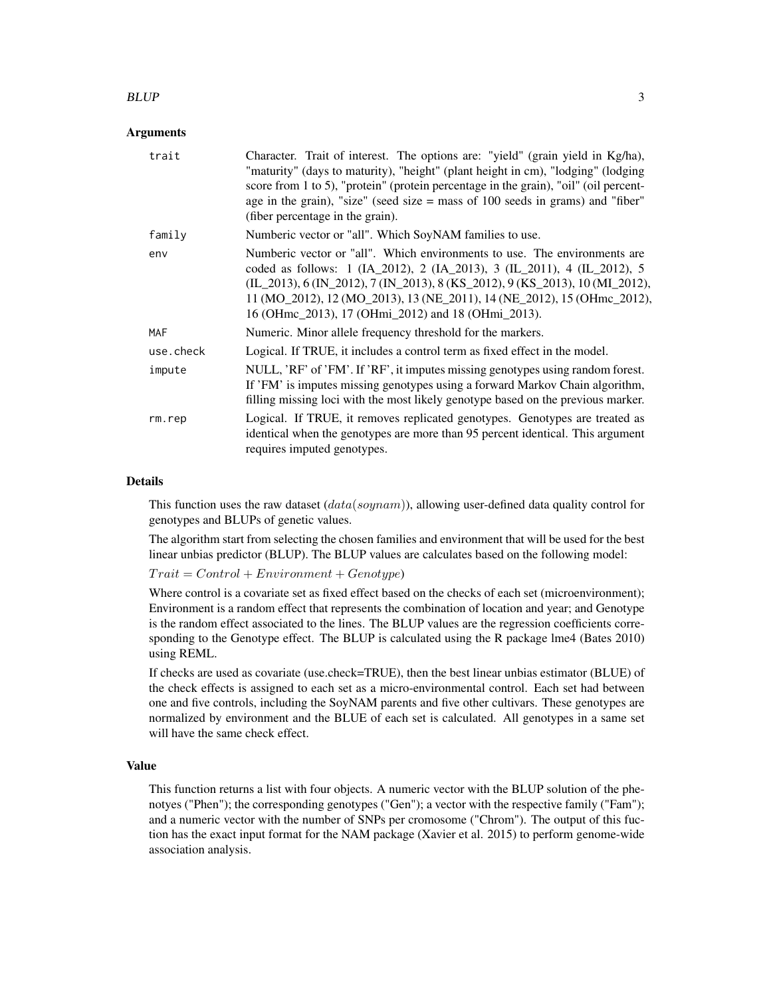#### $BLUP$  3

# Arguments

| trait      | Character. Trait of interest. The options are: "yield" (grain yield in Kg/ha),<br>"maturity" (days to maturity), "height" (plant height in cm), "lodging" (lodging<br>score from 1 to 5), "protein" (protein percentage in the grain), "oil" (oil percent-<br>age in the grain), "size" (seed size $=$ mass of 100 seeds in grams) and "fiber"<br>(fiber percentage in the grain). |
|------------|------------------------------------------------------------------------------------------------------------------------------------------------------------------------------------------------------------------------------------------------------------------------------------------------------------------------------------------------------------------------------------|
| family     | Numberic vector or "all". Which SoyNAM families to use.                                                                                                                                                                                                                                                                                                                            |
| env        | Numberic vector or "all". Which environments to use. The environments are<br>coded as follows: 1 (IA_2012), 2 (IA_2013), 3 (IL_2011), 4 (IL_2012), 5<br>(IL_2013), 6 (IN_2012), 7 (IN_2013), 8 (KS_2012), 9 (KS_2013), 10 (MI_2012),<br>11 (MO_2012), 12 (MO_2013), 13 (NE_2011), 14 (NE_2012), 15 (OHmc_2012),<br>16 (OHmc_2013), 17 (OHmi_2012) and 18 (OHmi_2013).              |
| <b>MAF</b> | Numeric. Minor allele frequency threshold for the markers.                                                                                                                                                                                                                                                                                                                         |
| use.check  | Logical. If TRUE, it includes a control term as fixed effect in the model.                                                                                                                                                                                                                                                                                                         |
| impute     | NULL, 'RF' of 'FM'. If 'RF', it imputes missing genotypes using random forest.<br>If 'FM' is imputes missing genotypes using a forward Markov Chain algorithm,<br>filling missing loci with the most likely genotype based on the previous marker.                                                                                                                                 |
| rm.rep     | Logical. If TRUE, it removes replicated genotypes. Genotypes are treated as<br>identical when the genotypes are more than 95 percent identical. This argument<br>requires imputed genotypes.                                                                                                                                                                                       |

#### Details

This function uses the raw dataset  $(data(soynan))$ , allowing user-defined data quality control for genotypes and BLUPs of genetic values.

The algorithm start from selecting the chosen families and environment that will be used for the best linear unbias predictor (BLUP). The BLUP values are calculates based on the following model:

 $Train = Control + Environment + Genotype)$ 

Where control is a covariate set as fixed effect based on the checks of each set (microenvironment); Environment is a random effect that represents the combination of location and year; and Genotype is the random effect associated to the lines. The BLUP values are the regression coefficients corresponding to the Genotype effect. The BLUP is calculated using the R package lme4 (Bates 2010) using REML.

If checks are used as covariate (use.check=TRUE), then the best linear unbias estimator (BLUE) of the check effects is assigned to each set as a micro-environmental control. Each set had between one and five controls, including the SoyNAM parents and five other cultivars. These genotypes are normalized by environment and the BLUE of each set is calculated. All genotypes in a same set will have the same check effect.

#### Value

This function returns a list with four objects. A numeric vector with the BLUP solution of the phenotyes ("Phen"); the corresponding genotypes ("Gen"); a vector with the respective family ("Fam"); and a numeric vector with the number of SNPs per cromosome ("Chrom"). The output of this fuction has the exact input format for the NAM package (Xavier et al. 2015) to perform genome-wide association analysis.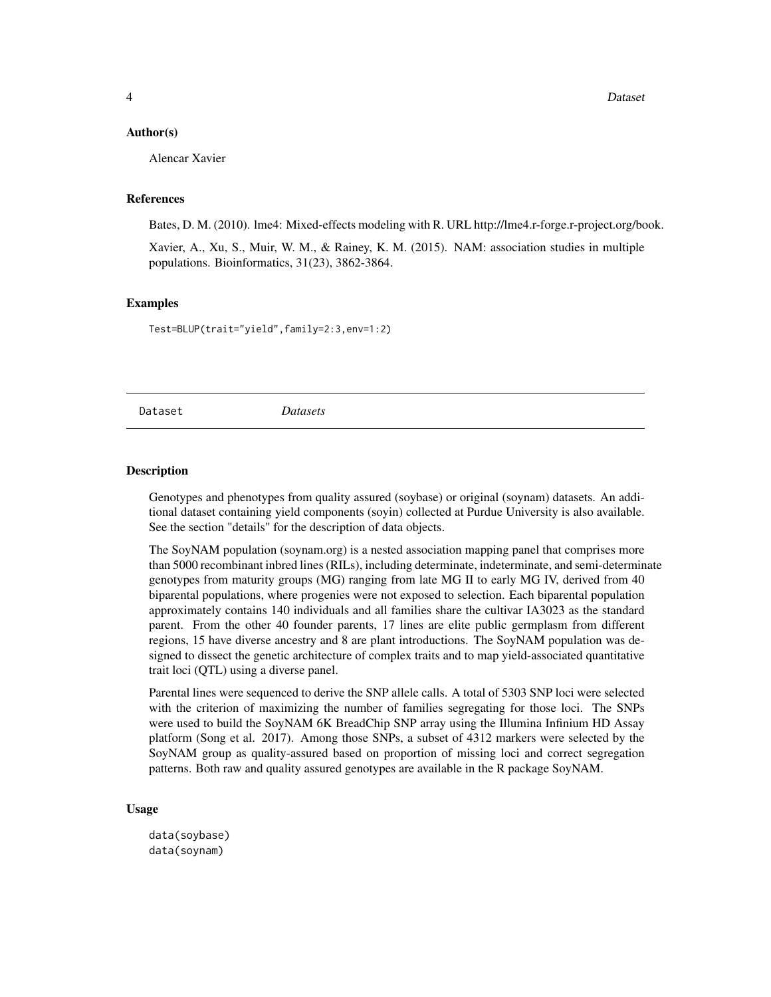#### <span id="page-3-0"></span>Author(s)

Alencar Xavier

#### References

Bates, D. M. (2010). lme4: Mixed-effects modeling with R. URL http://lme4.r-forge.r-project.org/book.

Xavier, A., Xu, S., Muir, W. M., & Rainey, K. M. (2015). NAM: association studies in multiple populations. Bioinformatics, 31(23), 3862-3864.

# **Examples**

Test=BLUP(trait="yield",family=2:3,env=1:2)

Dataset *Datasets*

#### Description

Genotypes and phenotypes from quality assured (soybase) or original (soynam) datasets. An additional dataset containing yield components (soyin) collected at Purdue University is also available. See the section "details" for the description of data objects.

The SoyNAM population (soynam.org) is a nested association mapping panel that comprises more than 5000 recombinant inbred lines (RILs), including determinate, indeterminate, and semi-determinate genotypes from maturity groups (MG) ranging from late MG II to early MG IV, derived from 40 biparental populations, where progenies were not exposed to selection. Each biparental population approximately contains 140 individuals and all families share the cultivar IA3023 as the standard parent. From the other 40 founder parents, 17 lines are elite public germplasm from different regions, 15 have diverse ancestry and 8 are plant introductions. The SoyNAM population was designed to dissect the genetic architecture of complex traits and to map yield-associated quantitative trait loci (QTL) using a diverse panel.

Parental lines were sequenced to derive the SNP allele calls. A total of 5303 SNP loci were selected with the criterion of maximizing the number of families segregating for those loci. The SNPs were used to build the SoyNAM 6K BreadChip SNP array using the Illumina Infinium HD Assay platform (Song et al. 2017). Among those SNPs, a subset of 4312 markers were selected by the SoyNAM group as quality-assured based on proportion of missing loci and correct segregation patterns. Both raw and quality assured genotypes are available in the R package SoyNAM.

# Usage

data(soybase) data(soynam)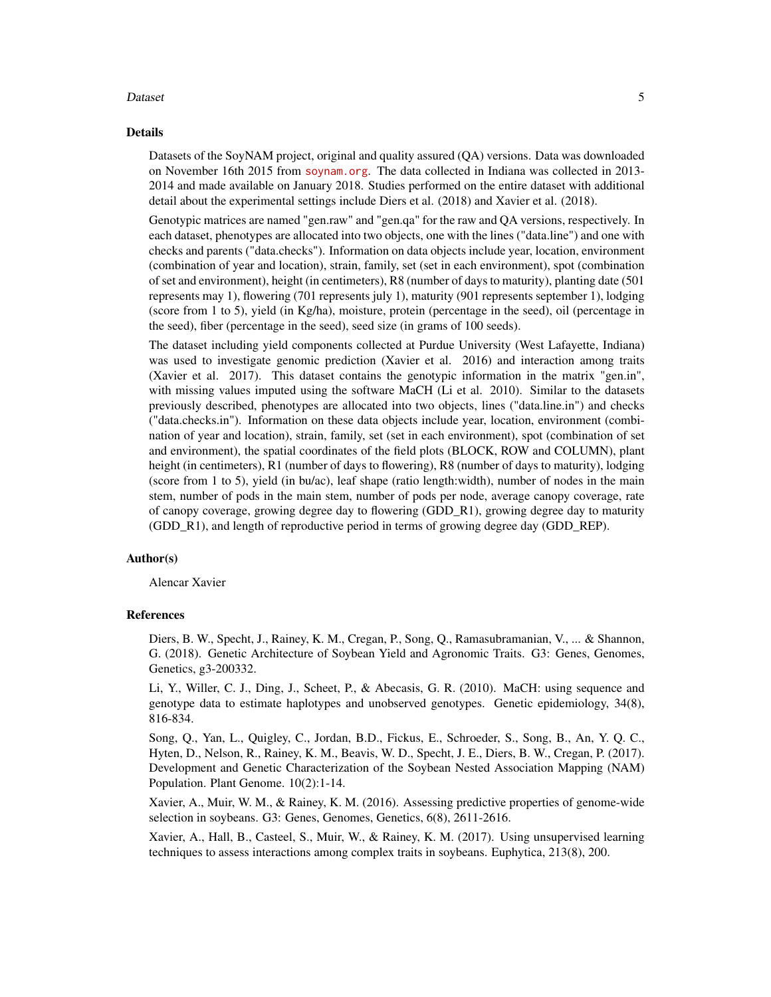#### Dataset 5 and 5 and 5 and 5 and 5 and 5 and 5 and 5 and 5 and 5 and 5 and 5 and 5 and 5 and 5 and 5 and 5 and 5 and 5 and 5 and 5 and 5 and 5 and 5 and 5 and 5 and 5 and 5 and 5 and 5 and 5 and 5 and 5 and 5 and 5 and 5 an

#### Details

Datasets of the SoyNAM project, original and quality assured (QA) versions. Data was downloaded on November 16th 2015 from <soynam.org>. The data collected in Indiana was collected in 2013- 2014 and made available on January 2018. Studies performed on the entire dataset with additional detail about the experimental settings include Diers et al. (2018) and Xavier et al. (2018).

Genotypic matrices are named "gen.raw" and "gen.qa" for the raw and QA versions, respectively. In each dataset, phenotypes are allocated into two objects, one with the lines ("data.line") and one with checks and parents ("data.checks"). Information on data objects include year, location, environment (combination of year and location), strain, family, set (set in each environment), spot (combination of set and environment), height (in centimeters), R8 (number of days to maturity), planting date (501 represents may 1), flowering (701 represents july 1), maturity (901 represents september 1), lodging (score from 1 to 5), yield (in Kg/ha), moisture, protein (percentage in the seed), oil (percentage in the seed), fiber (percentage in the seed), seed size (in grams of 100 seeds).

The dataset including yield components collected at Purdue University (West Lafayette, Indiana) was used to investigate genomic prediction (Xavier et al. 2016) and interaction among traits (Xavier et al. 2017). This dataset contains the genotypic information in the matrix "gen.in", with missing values imputed using the software MaCH (Li et al. 2010). Similar to the datasets previously described, phenotypes are allocated into two objects, lines ("data.line.in") and checks ("data.checks.in"). Information on these data objects include year, location, environment (combination of year and location), strain, family, set (set in each environment), spot (combination of set and environment), the spatial coordinates of the field plots (BLOCK, ROW and COLUMN), plant height (in centimeters), R1 (number of days to flowering), R8 (number of days to maturity), lodging (score from 1 to 5), yield (in bu/ac), leaf shape (ratio length:width), number of nodes in the main stem, number of pods in the main stem, number of pods per node, average canopy coverage, rate of canopy coverage, growing degree day to flowering (GDD\_R1), growing degree day to maturity (GDD\_R1), and length of reproductive period in terms of growing degree day (GDD\_REP).

## Author(s)

Alencar Xavier

#### References

Diers, B. W., Specht, J., Rainey, K. M., Cregan, P., Song, Q., Ramasubramanian, V., ... & Shannon, G. (2018). Genetic Architecture of Soybean Yield and Agronomic Traits. G3: Genes, Genomes, Genetics, g3-200332.

Li, Y., Willer, C. J., Ding, J., Scheet, P., & Abecasis, G. R. (2010). MaCH: using sequence and genotype data to estimate haplotypes and unobserved genotypes. Genetic epidemiology, 34(8), 816-834.

Song, Q., Yan, L., Quigley, C., Jordan, B.D., Fickus, E., Schroeder, S., Song, B., An, Y. Q. C., Hyten, D., Nelson, R., Rainey, K. M., Beavis, W. D., Specht, J. E., Diers, B. W., Cregan, P. (2017). Development and Genetic Characterization of the Soybean Nested Association Mapping (NAM) Population. Plant Genome. 10(2):1-14.

Xavier, A., Muir, W. M., & Rainey, K. M. (2016). Assessing predictive properties of genome-wide selection in soybeans. G3: Genes, Genomes, Genetics, 6(8), 2611-2616.

Xavier, A., Hall, B., Casteel, S., Muir, W., & Rainey, K. M. (2017). Using unsupervised learning techniques to assess interactions among complex traits in soybeans. Euphytica, 213(8), 200.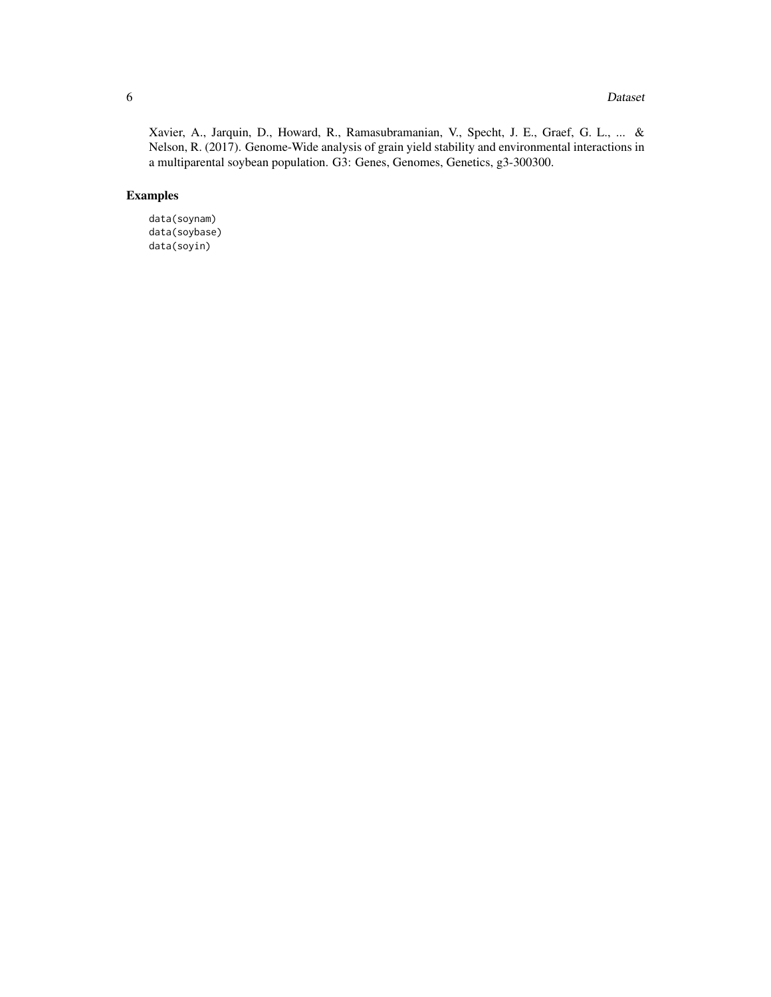#### **6** Dataset **Dataset Dataset D**

Xavier, A., Jarquin, D., Howard, R., Ramasubramanian, V., Specht, J. E., Graef, G. L., ... & Nelson, R. (2017). Genome-Wide analysis of grain yield stability and environmental interactions in a multiparental soybean population. G3: Genes, Genomes, Genetics, g3-300300.

# Examples

data(soynam) data(soybase) data(soyin)